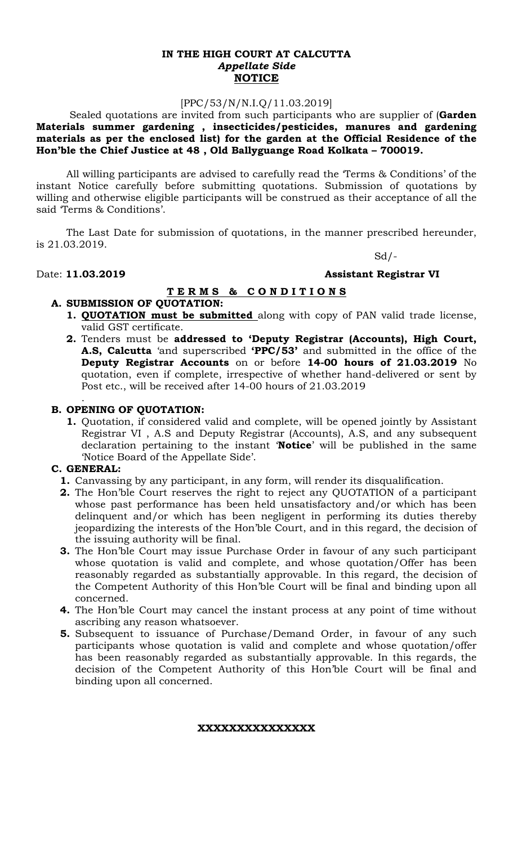### **IN THE HIGH COURT AT CALCUTTA** *Appellate Side* **NOTICE**

## [PPC/53/N/N.I.Q/11.03.2019]

Sealed quotations are invited from such participants who are supplier of (**Garden Materials summer gardening , insecticides/pesticides, manures and gardening materials as per the enclosed list) for the garden at the Official Residence of the Hon'ble the Chief Justice at 48 , Old Ballyguange Road Kolkata – 700019.**

All willing participants are advised to carefully read the 'Terms & Conditions' of the instant Notice carefully before submitting quotations. Submission of quotations by willing and otherwise eligible participants will be construed as their acceptance of all the said 'Terms & Conditions'.

The Last Date for submission of quotations, in the manner prescribed hereunder, is 21.03.2019.

 $Sd$  /-

## Date: **11.03.2019 Assistant Registrar VI**

# **T E R M S & C O N D I T I O N S**

# **A. SUBMISSION OF QUOTATION:**

- **1. QUOTATION must be submitted** along with copy of PAN valid trade license, valid GST certificate.
- **2.** Tenders must be **addressed to 'Deputy Registrar (Accounts), High Court, A.S, Calcutta** 'and superscribed **'PPC/53'** and submitted in the office of the **Deputy Registrar Accounts** on or before **14-00 hours of 21.03.2019** No quotation, even if complete, irrespective of whether hand-delivered or sent by Post etc., will be received after 14-00 hours of 21.03.2019

### **B. OPENING OF QUOTATION:**

**1.** Quotation, if considered valid and complete, will be opened jointly by Assistant Registrar VI , A.S and Deputy Registrar (Accounts), A.S, and any subsequent declaration pertaining to the instant '**Notice**' will be published in the same 'Notice Board of the Appellate Side'.

### **C. GENERAL:**

.

- **1.** Canvassing by any participant, in any form, will render its disqualification.
- **2.** The Hon'ble Court reserves the right to reject any QUOTATION of a participant whose past performance has been held unsatisfactory and/or which has been delinquent and/or which has been negligent in performing its duties thereby jeopardizing the interests of the Hon'ble Court, and in this regard, the decision of the issuing authority will be final.
- **3.** The Hon'ble Court may issue Purchase Order in favour of any such participant whose quotation is valid and complete, and whose quotation/Offer has been reasonably regarded as substantially approvable. In this regard, the decision of the Competent Authority of this Hon'ble Court will be final and binding upon all concerned.
- **4.** The Hon'ble Court may cancel the instant process at any point of time without ascribing any reason whatsoever.
- **5.** Subsequent to issuance of Purchase/Demand Order, in favour of any such participants whose quotation is valid and complete and whose quotation/offer has been reasonably regarded as substantially approvable. In this regards, the decision of the Competent Authority of this Hon'ble Court will be final and binding upon all concerned.

### **XXXXXXXXXXXXXXX**